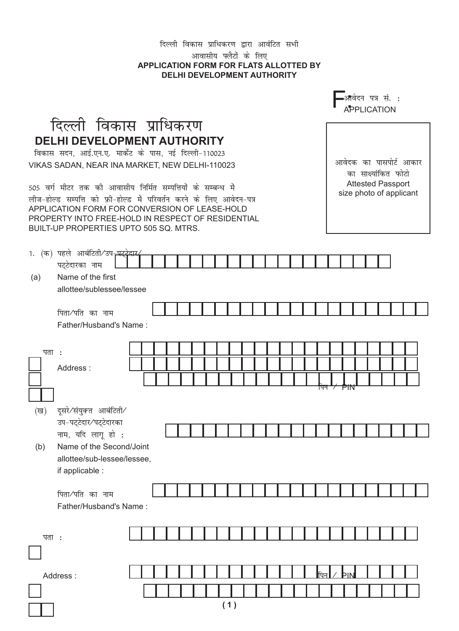## दिल्ली विकास प्राधिकरण द्वारा आवंटित सभी आवासीय फ्लैटों के लिए APPLICATION FORM FOR FLATS ALLOTTED BY **DELHI DEVELOPMENT AUTHORITY**

|                                                                                                                                                                                                                                                                                       |                                                                                                                                              |  |  |  |  |  |  |  |  |                                                                             |  |     |  | ∍आवेदन पत्र सं. : |  |  | <b>APPLICATION</b> |                        |  |
|---------------------------------------------------------------------------------------------------------------------------------------------------------------------------------------------------------------------------------------------------------------------------------------|----------------------------------------------------------------------------------------------------------------------------------------------|--|--|--|--|--|--|--|--|-----------------------------------------------------------------------------|--|-----|--|-------------------|--|--|--------------------|------------------------|--|
|                                                                                                                                                                                                                                                                                       | दिल्ली विकास प्राधिकरण                                                                                                                       |  |  |  |  |  |  |  |  |                                                                             |  |     |  |                   |  |  |                    |                        |  |
|                                                                                                                                                                                                                                                                                       | <b>DELHI DEVELOPMENT AUTHORITY</b><br>विकास सदन, आई.एन.ए. मार्केट के पास, नई दिल्ली-110023<br>VIKAS SADAN, NEAR INA MARKET, NEW DELHI-110023 |  |  |  |  |  |  |  |  |                                                                             |  |     |  |                   |  |  |                    | आवेदक का पासपोर्ट आकार |  |
| 505 वर्ग मीटर तक की आवासीय निर्मित सम्पत्तियों के सम्बन्ध में<br>लीज-होल्ड सम्पत्ति को फ्री-होल्ड में परिवर्तन करने के लिए आवेदन-पत्र<br>APPLICATION FORM FOR CONVERSION OF LEASE-HOLD<br>PROPERTY INTO FREE-HOLD IN RESPECT OF RESIDENTIAL<br>BUILT-UP PROPERTIES UPTO 505 SQ. MTRS. |                                                                                                                                              |  |  |  |  |  |  |  |  | का साक्ष्यांकित फोटो<br><b>Attested Passport</b><br>size photo of applicant |  |     |  |                   |  |  |                    |                        |  |
|                                                                                                                                                                                                                                                                                       | 1. (क) पहले आबंटिती⁄उप <del>,पट्ट्वेदार</del>                                                                                                |  |  |  |  |  |  |  |  |                                                                             |  |     |  |                   |  |  |                    |                        |  |
| (a)                                                                                                                                                                                                                                                                                   | पट्टेदारका नाम<br>Name of the first<br>allottee/sublessee/lessee                                                                             |  |  |  |  |  |  |  |  |                                                                             |  |     |  |                   |  |  |                    |                        |  |
|                                                                                                                                                                                                                                                                                       | पिता∕पति का नाम                                                                                                                              |  |  |  |  |  |  |  |  |                                                                             |  |     |  |                   |  |  |                    |                        |  |
|                                                                                                                                                                                                                                                                                       | Father/Husband's Name:                                                                                                                       |  |  |  |  |  |  |  |  |                                                                             |  |     |  |                   |  |  |                    |                        |  |
| पता :                                                                                                                                                                                                                                                                                 |                                                                                                                                              |  |  |  |  |  |  |  |  |                                                                             |  |     |  |                   |  |  |                    |                        |  |
|                                                                                                                                                                                                                                                                                       | Address:                                                                                                                                     |  |  |  |  |  |  |  |  |                                                                             |  |     |  |                   |  |  |                    |                        |  |
|                                                                                                                                                                                                                                                                                       |                                                                                                                                              |  |  |  |  |  |  |  |  |                                                                             |  |     |  | PM                |  |  |                    |                        |  |
|                                                                                                                                                                                                                                                                                       | (ख) दूसरे∕संयुक्त आबंटिती∕                                                                                                                   |  |  |  |  |  |  |  |  |                                                                             |  |     |  |                   |  |  |                    |                        |  |
|                                                                                                                                                                                                                                                                                       | उप-पट्टेदार⁄पट्टेदारका                                                                                                                       |  |  |  |  |  |  |  |  |                                                                             |  |     |  |                   |  |  |                    |                        |  |
| (b)                                                                                                                                                                                                                                                                                   | नाम, यदि लागू हो :<br>Name of the Second/Joint<br>allottee/sub-lessee/lessee,<br>if applicable :                                             |  |  |  |  |  |  |  |  |                                                                             |  |     |  |                   |  |  |                    |                        |  |
|                                                                                                                                                                                                                                                                                       | पिता∕पति का नाम<br>Father/Husband's Name:                                                                                                    |  |  |  |  |  |  |  |  |                                                                             |  |     |  |                   |  |  |                    |                        |  |
|                                                                                                                                                                                                                                                                                       |                                                                                                                                              |  |  |  |  |  |  |  |  |                                                                             |  |     |  |                   |  |  |                    |                        |  |
| पता <b>ः</b>                                                                                                                                                                                                                                                                          |                                                                                                                                              |  |  |  |  |  |  |  |  |                                                                             |  |     |  |                   |  |  |                    |                        |  |
|                                                                                                                                                                                                                                                                                       | Address:                                                                                                                                     |  |  |  |  |  |  |  |  |                                                                             |  | पिन |  | Þ۱۸               |  |  |                    |                        |  |
|                                                                                                                                                                                                                                                                                       |                                                                                                                                              |  |  |  |  |  |  |  |  |                                                                             |  |     |  |                   |  |  |                    |                        |  |
|                                                                                                                                                                                                                                                                                       |                                                                                                                                              |  |  |  |  |  |  |  |  |                                                                             |  |     |  |                   |  |  |                    |                        |  |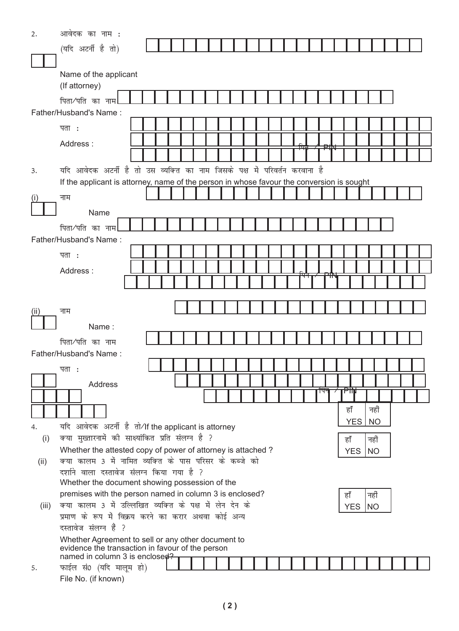| 2.    | आवेदक का नाम :                                                                            |  |  |  |  |    |            |           |  |  |
|-------|-------------------------------------------------------------------------------------------|--|--|--|--|----|------------|-----------|--|--|
|       | (यदि अटर्नी है तो)                                                                        |  |  |  |  |    |            |           |  |  |
|       |                                                                                           |  |  |  |  |    |            |           |  |  |
|       | Name of the applicant                                                                     |  |  |  |  |    |            |           |  |  |
|       | (If attorney)                                                                             |  |  |  |  |    |            |           |  |  |
|       | पिता⁄पति का नाम                                                                           |  |  |  |  |    |            |           |  |  |
|       | Father/Husband's Name:                                                                    |  |  |  |  |    |            |           |  |  |
|       |                                                                                           |  |  |  |  |    |            |           |  |  |
|       | पता <b>ः</b>                                                                              |  |  |  |  |    |            |           |  |  |
|       | Address:                                                                                  |  |  |  |  |    |            |           |  |  |
|       |                                                                                           |  |  |  |  |    |            |           |  |  |
| 3.    | यदि आवेदक अटर्नी है तो उस व्यक्ति का नाम जिसके पक्ष में परिवर्तन करवाना है                |  |  |  |  |    |            |           |  |  |
|       | If the applicant is attorney, name of the person in whose favour the conversion is sought |  |  |  |  |    |            |           |  |  |
| ( I ) | नाम                                                                                       |  |  |  |  |    |            |           |  |  |
|       | Name                                                                                      |  |  |  |  |    |            |           |  |  |
|       |                                                                                           |  |  |  |  |    |            |           |  |  |
|       | पिता∕पति का नाम<br>Father/Husband's Name:                                                 |  |  |  |  |    |            |           |  |  |
|       |                                                                                           |  |  |  |  |    |            |           |  |  |
|       | पता :                                                                                     |  |  |  |  |    |            |           |  |  |
|       | Address:                                                                                  |  |  |  |  |    |            |           |  |  |
|       |                                                                                           |  |  |  |  |    |            |           |  |  |
|       |                                                                                           |  |  |  |  |    |            |           |  |  |
| (ii)  | नाम                                                                                       |  |  |  |  |    |            |           |  |  |
|       | Name:                                                                                     |  |  |  |  |    |            |           |  |  |
|       |                                                                                           |  |  |  |  |    |            |           |  |  |
|       | पिता∕पति का नाम<br>Father/Husband's Name:                                                 |  |  |  |  |    |            |           |  |  |
|       |                                                                                           |  |  |  |  |    |            |           |  |  |
|       | पता :                                                                                     |  |  |  |  |    |            |           |  |  |
|       | Address                                                                                   |  |  |  |  |    | P₩         |           |  |  |
|       |                                                                                           |  |  |  |  | ाप |            |           |  |  |
|       |                                                                                           |  |  |  |  |    | हाँ        | नहीं      |  |  |
| 4.    | यदि आवेदक अटर्नी है तो⁄If the applicant is attorney                                       |  |  |  |  |    | <b>YES</b> | <b>NO</b> |  |  |
| (i)   | क्या मुख्तारनामें की साक्ष्यांकित प्रति संलग्न है ?                                       |  |  |  |  |    | हाँ        | नहीं      |  |  |
|       | Whether the attested copy of power of attorney is attached?                               |  |  |  |  |    | <b>YES</b> | NO        |  |  |
| (ii)  | क्या कालम 3 में नामित व्यक्ति के पास परिसर के कब्जे को                                    |  |  |  |  |    |            |           |  |  |
|       | दर्शाने वाला दस्तावेज संलग्न किया गया है ?                                                |  |  |  |  |    |            |           |  |  |
|       | Whether the document showing possession of the                                            |  |  |  |  |    |            |           |  |  |
|       | premises with the person named in column 3 is enclosed?                                   |  |  |  |  |    | हाँ        | नहीं      |  |  |
| (iii) | क्या कालम 3 में उल्लिखित व्यक्ति के पक्ष में लेन देन के                                   |  |  |  |  |    | <b>YES</b> | <b>NO</b> |  |  |
|       | प्रमाण के रूप में विक्रय करने का करार अथवा कोई अन्य<br>दस्तावेज संलग्न है ?               |  |  |  |  |    |            |           |  |  |
|       | Whether Agreement to sell or any other document to                                        |  |  |  |  |    |            |           |  |  |
|       | evidence the transaction in favour of the person                                          |  |  |  |  |    |            |           |  |  |
|       | named in column 3 is enclosed?                                                            |  |  |  |  |    |            |           |  |  |
| 5.    | फाईल सं0 (यदि मालूम हो)                                                                   |  |  |  |  |    |            |           |  |  |
|       | File No. (if known)                                                                       |  |  |  |  |    |            |           |  |  |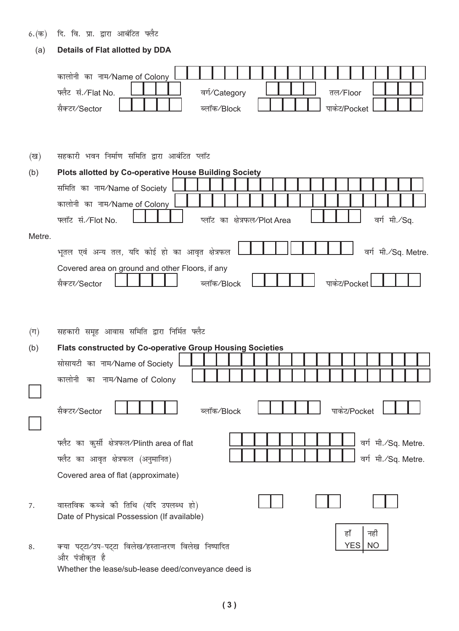- 6.(क) दि. वि. प्रा. द्वारा आबंटित फ्लैट
	- (a) **Details of Flat allotted by DDA**

|                | कालोनी का नाम/Name of Colony<br>फ्लैट सं./Flat No.<br>वर्ग∕Category<br>तल/Floor<br>सैक्टर/Sector<br>पाकेट/Pocket<br>ब्लॉक⁄Block            |
|----------------|--------------------------------------------------------------------------------------------------------------------------------------------|
| (ख)            | सहकारी भवन निर्माण समिति द्वारा आबंटित प्लॉट                                                                                               |
| (b)            | Plots allotted by Co-operative House Building Society                                                                                      |
|                | समिति का नाम/Name of Society                                                                                                               |
|                | कालोनी का नाम⁄Name of Colony                                                                                                               |
|                | वर्ग मी./Sq.<br>फ्लॉट सं./Flot No.<br>प्लॉट का क्षेत्रफल/Plot Area                                                                         |
| Metre.         |                                                                                                                                            |
|                | भूतल एवं अन्य तल, यदि कोई हो का आवृत क्षेत्रफल<br>वर्ग मी./Sq. Metre.                                                                      |
|                | Covered area on ground and other Floors, if any                                                                                            |
|                | सैक्टर/Sector<br>पाकेट/Pocket<br>ब्लॉक⁄Block                                                                                               |
| $(\Pi)$<br>(b) | सहकारी समूह आवास समिति द्वारा निर्मित फ्लैट<br>Flats constructed by Co-operative Group Housing Societies<br>सोसायटी का नाम/Name of Society |
|                | कालोनी का नाम/Name of Colony                                                                                                               |
|                | सैक्टर/Sector<br>ब्लॉक⁄Block<br>पाकेट/Pocket                                                                                               |
|                | फ्लैट का कुर्सी क्षेत्रफल/Plinth area of flat<br>वर्ग मी./Sq. Metre.                                                                       |
|                | फ्लैट का आवृत क्षेत्रफल (अनुमानित)<br>वर्ग मी./Sq. Metre.                                                                                  |
|                | Covered area of flat (approximate)                                                                                                         |
| 7.             | वास्तविक कब्जे की तिथि (यदि उपलब्ध हो)<br>Date of Physical Possession (If available)                                                       |
| 8.             | हाँ<br>नहीं<br><b>YES</b><br><b>NO</b><br>क्या पट्टा/उप-पट्टा विलेख/हस्तान्तरण विलेख निष्पादित<br>और पंजीकृत है                            |

**( 3 )**

Whether the lease/sub-lease deed/conveyance deed is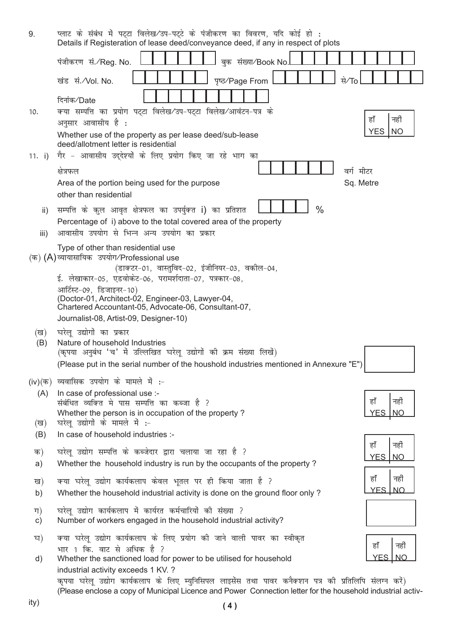| 9.                  | प्लाट के संबंध में पट्टा विलेख/उप-पट्टे के पंजीकरण का विवरण, यदि कोई हो :<br>Details if Registeration of lease deed/conveyance deed, if any in respect of plots                                                       |
|---------------------|-----------------------------------------------------------------------------------------------------------------------------------------------------------------------------------------------------------------------|
|                     | बुक संख्या/Book No.<br>पंजीकरण सं.⁄Reg. No.                                                                                                                                                                           |
|                     | से⁄To<br>पृष्ठ/Page From<br>खंड सं./Vol. No.                                                                                                                                                                          |
|                     |                                                                                                                                                                                                                       |
| 10.                 | दिनांक⁄Date<br>क्या सम्पत्ति का प्रयोग पट्टा विलेख/उप-पट्टा विलेख/आवंटन-पत्र के                                                                                                                                       |
|                     | हाँ<br>नहीं<br>अनुसार आवासीय है :                                                                                                                                                                                     |
|                     | <b>YES</b><br><b>NO</b><br>Whether use of the property as per lease deed/sub-lease<br>deed/allotment letter is residential                                                                                            |
| 11. $i)$            | गैर - आवासीय उद्देश्यों के लिए प्रयोग किए जा रहे भाग का                                                                                                                                                               |
|                     | वर्ग मीटर<br>क्षेत्रफल                                                                                                                                                                                                |
|                     | Sq. Metre<br>Area of the portion being used for the purpose<br>other than residential                                                                                                                                 |
| ii)                 | $\frac{0}{0}$<br>सम्पत्ति के कुल आवृत क्षेत्रफल का उपर्युक्त i) का प्रतिशत                                                                                                                                            |
| iii)                | Percentage of i) above to the total covered area of the property<br>आवासीय उपयोग से भिन्न अन्य उपयोग का प्रकार                                                                                                        |
|                     | Type of other than residential use                                                                                                                                                                                    |
|                     | (क) (A)व्यायासायिक उपयोग/Professional use<br>(डाक्टर-01, वास्तुविद-02, इंजीनियर-03, वकील-04,                                                                                                                          |
|                     | ई. लेखाकार-05, एडवोकेट-06, परामर्शदाता-07, पत्रकार-08,                                                                                                                                                                |
|                     | आर्टिस्ट-09, डिजाइनर-10)<br>(Doctor-01, Architect-02, Engineer-03, Lawyer-04,<br>Chartered Accountant-05, Advocate-06, Consultant-07,<br>Journalist-08, Artist-09, Designer-10)                                       |
| (ख)                 | घरेलू उद्योगों का प्रकार                                                                                                                                                                                              |
| (B)                 | Nature of household Industries<br>(कृपया अनुबंध 'च' में उल्लिखित घरेलू उद्योगों की क्रम संख्या लिखें)<br>(Please put in the serial number of the houshold industries mentioned in Annexure "E")                       |
|                     | (iv) (क) व्यवासिक उपयोग के मामले में :-                                                                                                                                                                               |
| (A)                 | In case of professional use :-                                                                                                                                                                                        |
|                     | नहीं<br>हाँ<br>संबंधित व्यक्ति मे पास सम्पत्ति का कब्जा है ?                                                                                                                                                          |
| (ख)                 | Whether the person is in occupation of the property?<br><b>YES</b><br><b>NO</b><br>घरेलू उद्योगों के मामले में :-                                                                                                     |
| (B)                 | In case of household industries :-                                                                                                                                                                                    |
| क)                  | हाँ<br>नहीं<br>घरेलू उद्योग सम्पत्ति के कब्जेदार द्वारा चलाया जा रहा है ?                                                                                                                                             |
| a)                  | <b>YES</b><br>N <sub>O</sub><br>Whether the household industry is run by the occupants of the property?                                                                                                               |
| ख)                  | हाँ<br>नहीं<br>क्या घरेलू उद्योग कार्यकलाप केवल भूतल पर ही किया जाता है ?                                                                                                                                             |
| b)                  | <b>YES INO</b><br>Whether the household industrial activity is done on the ground floor only?                                                                                                                         |
| ग)<br>$\mathsf{c})$ | घरेलू उद्योग कार्यकलाप में कार्यरत कर्मचारियों की संख्या ?<br>Number of workers engaged in the household industrial activity?                                                                                         |
| घ)                  | क्या घरेलू उद्योग कार्यकलाप के लिए प्रयोग की जाने वाली पावर का स्वीकृत<br>नहीं                                                                                                                                        |
| d)                  | हाँ<br>भार 1 कि. वाट से अधिक है ?<br>YES<br><b>NO</b><br>Whether the sanctioned load for power to be utilised for household                                                                                           |
|                     | industrial activity exceeds 1 KV. ?                                                                                                                                                                                   |
|                     | कृपया घरेलू उद्योग कार्यकलाप के लिए म्युनिसिपल लाइसेंस तथा पावर कनैक्शन पत्र की प्रतिलिपि संलग्न करें)<br>(Please enclose a copy of Municipal Licence and Power Connection letter for the household industrial activ- |

ity)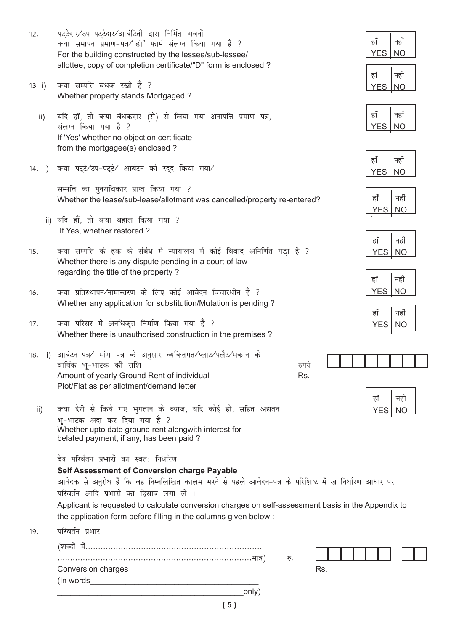- 12. पट्टेदार⁄उप-पट्टेदार⁄आबंटिती द्वारा निर्मित भवनों क्या समापन प्रमाण-पत्र⁄\*डी' फार्म संलग्न किया गया है ? For the building constructed by the lessee/sub-lessee/ allottee, copy of completion certificate/"D" form is enclosed ?
- 13 i) क्या सम्पत्ति बंधक रखी है ? Whether property stands Mortgaged ?
	- ii) यदि हॉ, तो क्या बंधकदार (रो) से लिया गया अनापत्ति प्रमाण पत्र, संलग्न किया गया है ? If 'Yes' whether no objection certificate from the mortgagee(s) enclosed ?
- 14. i) क्या पट्टे∕उप-पट्टे∕ आबंटन को रद्द किया गया∕

सम्पत्ति का पुनराधिकार प्राप्त किया गया ? Whether the lease/sub-lease/allotment was cancelled/property re-entered?

- ii) यदि हाँ, तो क्या बहाल किया गया ? If Yes, whether restored ?
- 15. क्या सम्पत्ति के हक के संबंध में न्यायालय में कोई विवाद अनिर्णित पडा है ? Whether there is any dispute pending in a court of law regarding the title of the property ?
- 16. क्या प्रतिस्थापन⁄नामान्तरण के लिए कोई आवेदन विचारधीन है ? Whether any application for substitution/Mutation is pending ?
- 17. क्या परिसर में अनधिकृत निर्माण किया गया है ? Whether there is unauthorised construction in the premises ?
- 18. i) आबंटन-पत्र∕ मांग पत्र के अनुसार व्यक्तितगत∕प्लाट∕फ्लैट⁄मकान के okf"kZd Hkw&HkkVd dh jkf'k #i;s Amount of yearly Ground Rent of individual Plot/Flat as per allotment/demand letter
- ii) क्या देरी से किये गए भगतान के ब्याज, यदि कोई हो, सहित अद्यतन भू-भाटक अदा कर दिया गया है ?<br>Whether upto date ground rent alongwith interest for belated payment, if any, has been paid ?

देय परिर्वतन प्रभारों का स्वत: निर्धारण

**Self Assessment of Conversion charge Payable**

आवेदक से अनुरोध है कि वह निम्नलिखित कालम भरने से पहले आवेदन-पत्र के परिशिष्ट में ख निर्धारण आधार पर परिवर्तन आदि प्रभारों का हिसाब लगा लें ।

Applicant is requested to calculate conversion charges on self-assessment basis in the Appendix to the application form before filling in the columns given below :-

19. परिवर्तन प्रभार

| (शब्द              | रु. |     |
|--------------------|-----|-----|
| Conversion charges |     | Rs. |
| (In words          |     |     |
| only)              |     |     |
| 5                  |     |     |

| हा | नहीं |
|----|------|
|    |      |
|    |      |
|    |      |

| ы |
|---|
|   |

| ನ | r<br>हा |
|---|---------|
|   |         |

| ನ | हा |
|---|----|
|   |    |

| हा | г,<br>नही |
|----|-----------|
|    |           |









| 81 | ┍<br>हो |
|----|---------|
|    |         |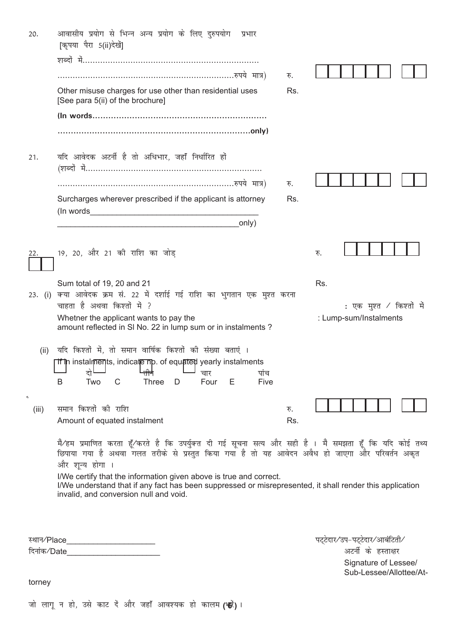| 20.                               | आवासीय प्रयोग से भिन्न अन्य प्रयोग के लिए दुरुपयोग<br>प्रभार<br>[कृपया पैरा 5(ii)देखें]                                                                                                                                      |     |     |                          |  |
|-----------------------------------|------------------------------------------------------------------------------------------------------------------------------------------------------------------------------------------------------------------------------|-----|-----|--------------------------|--|
|                                   |                                                                                                                                                                                                                              |     |     |                          |  |
|                                   |                                                                                                                                                                                                                              | रु. |     |                          |  |
|                                   | Other misuse charges for use other than residential uses<br>[See para 5(ii) of the brochure]                                                                                                                                 | Rs. |     |                          |  |
|                                   |                                                                                                                                                                                                                              |     |     |                          |  |
|                                   |                                                                                                                                                                                                                              |     |     |                          |  |
| 21.                               | यदि आवेदक अटर्नी है तो अधिभार, जहाँ निर्धारित हों                                                                                                                                                                            |     |     |                          |  |
|                                   |                                                                                                                                                                                                                              | रु. |     |                          |  |
|                                   | Surcharges wherever prescribed if the applicant is attorney<br>(In words                                                                                                                                                     | Rs. |     |                          |  |
|                                   | only)                                                                                                                                                                                                                        |     |     |                          |  |
|                                   |                                                                                                                                                                                                                              |     |     |                          |  |
| 22.                               | 19, 20, और 21 की राशि का जोड़                                                                                                                                                                                                |     | रु. |                          |  |
|                                   | Sum total of 19, 20 and 21                                                                                                                                                                                                   |     | Rs. |                          |  |
| 23. (i)                           | क्या आवेदक क्रम सं. 22 में दर्शाई गई राशि का भुगतान एक मुश्त करना                                                                                                                                                            |     |     |                          |  |
|                                   | चाहता है अथवा किश्तों में ?                                                                                                                                                                                                  |     |     | ∶ एक मुश्त ∕ किश्तों में |  |
|                                   | Whetner the applicant wants to pay the<br>amount reflected in SI No. 22 in lump sum or in instalments ?                                                                                                                      |     |     | : Lump-sum/Instalments   |  |
| (ii)                              | यदि किश्तों में, तो समान वार्षिक किश्तों की संख्या बताएं ।<br><b>If in instaiments, indicate np. of equated yearly instaiments</b><br>दो<br>चार<br>पाच                                                                       |     |     |                          |  |
|                                   | B<br>Two<br>C<br><b>Three</b><br>Four<br>Е<br>D<br>Five                                                                                                                                                                      |     |     |                          |  |
| $\mathord{\text{\rm c}}$<br>(iii) | समान किश्तों की राशि                                                                                                                                                                                                         | रु. |     |                          |  |
|                                   | Amount of equated instalment                                                                                                                                                                                                 | Rs. |     |                          |  |
|                                   | मै⁄हम प्रमाणित करता हूँ⁄करते है कि उपर्युक्त दी गई सूचना सत्य और सही है । मै समझता हूँ कि यदि कोई तथ्य<br>छिपाया गया है अथवा गलत तरीके से प्रस्तुत किया गया है तो यह आवेदन अवैध हो जाएगा और परिवर्तन अकृत<br>और शुन्य होगा । |     |     |                          |  |
|                                   | I/We certify that the information given above is true and correct.<br>I/We understand that if any fact has been suppressed or misrepresented, it shall render this application<br>invalid, and conversion null and void.     |     |     |                          |  |
|                                   |                                                                                                                                                                                                                              |     |     |                          |  |
|                                   |                                                                                                                                                                                                                              |     |     |                          |  |

fnukad@Date\_\_\_\_\_\_\_\_\_\_\_\_\_\_\_\_\_\_\_\_\_ vVuhZ ds gLrk{kj

LFkku@Place\_\_\_\_\_\_\_\_\_\_\_\_\_\_\_\_\_\_\_\_ iV~Vsnkj@mi&iV~Vsnkj@vkcafVrh@ Signature of Lessee/ Sub-Lessee/Allottee/At-

torney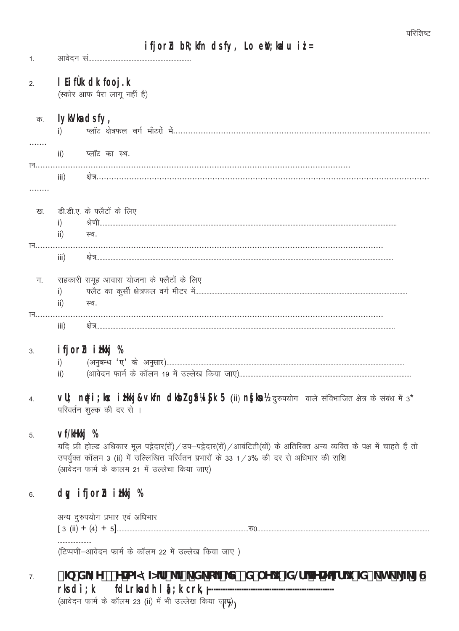$1<sup>1</sup>$ 

## 1 Hftkdkfooj.k  $2.$

(स्कोर आफ पैरा लागू नहीं है)

### **IylVladsfy,** क.

|     | $\mathsf{ii}$ )           | प्लॉट का स्थ.                            |
|-----|---------------------------|------------------------------------------|
| नि… |                           |                                          |
|     | $\overline{\mathsf{iii}}$ |                                          |
|     |                           |                                          |
|     |                           | ख. डी.डी.ए. के फ्लैटों के लिए            |
|     | $\mathsf{ii}$             | स्थ.                                     |
| ान. | $\overline{\mathsf{iii}}$ |                                          |
| ग.  |                           | सहकारी समूह आवास योजना के फ्लैटों के लिए |
| ान. | $\mathsf{ii}$             | स्थ.                                     |
|     | iii)                      |                                          |
| 3.  |                           | ifjor <b>h</b> ili %                     |
|     |                           |                                          |
|     | $\mathbf{ii}$             |                                          |

VU nti; k ilitavlin dlazgitask 5 (ii) nslet/ground and either and disched it 3\* 4. परिवर्तन शुल्क की दर से ।

#### $\mathbf{v}$ fili % 5.

यदि फ्री होल्ड अधिकार मूल पट्टेदार(रों) / उप-पट्टेदार(रों) / आबंटिती(यों) के अतिरिक्त अन्य व्यक्ति के पक्ष में चाहते हैं तो उपर्युक्त कॉलम 3 (ii) में उल्लिखित परिर्वतन प्रभारों के 33 1/3% की दर से अधिभार की राशि (आवेदन फार्म के कालम 21 में उल्लेचा किया जाए)

## dy ifjorn in % 6.

अन्य दुरुपयोग प्रभार एवं अधिभार 

(टिप्पणी-आवेदन फार्म के कॉलम 22 में उल्लेख किया जाए)

## **/BXKY\*'YAZAZAF'^Z\_'X\_cZNZX`Yi 'ZG BAKEf i 'ZV\_'h\_'\[\_`[G**  $7.$ fdIrladhl &; kcrkjr**k**di; k

(आवेदन फार्म के कॉलम 23 (ii) में भी उल्लेख किया जाए)